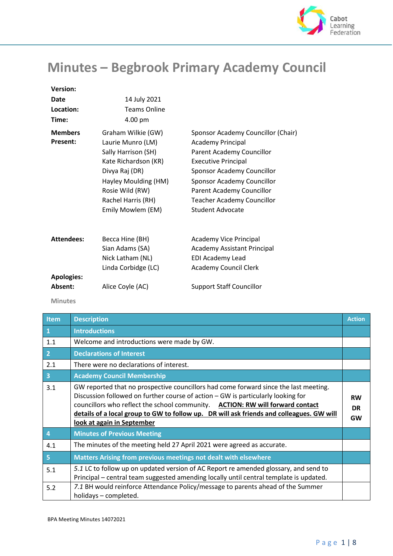

## **Minutes – Begbrook Primary Academy Council**

| <b>Version:</b>                   |                                                                                                                                                                                                |                                                                                                                                                                                                                                                                             |
|-----------------------------------|------------------------------------------------------------------------------------------------------------------------------------------------------------------------------------------------|-----------------------------------------------------------------------------------------------------------------------------------------------------------------------------------------------------------------------------------------------------------------------------|
| Date                              | 14 July 2021                                                                                                                                                                                   |                                                                                                                                                                                                                                                                             |
| Location:                         | <b>Teams Online</b>                                                                                                                                                                            |                                                                                                                                                                                                                                                                             |
| Time:                             | 4.00 pm                                                                                                                                                                                        |                                                                                                                                                                                                                                                                             |
| <b>Members</b><br><b>Present:</b> | Graham Wilkie (GW)<br>Laurie Munro (LM)<br>Sally Harrison (SH)<br>Kate Richardson (KR)<br>Divya Raj (DR)<br>Hayley Moulding (HM)<br>Rosie Wild (RW)<br>Rachel Harris (RH)<br>Emily Mowlem (EM) | Sponsor Academy Councillor (Chair)<br><b>Academy Principal</b><br>Parent Academy Councillor<br><b>Executive Principal</b><br>Sponsor Academy Councillor<br>Sponsor Academy Councillor<br>Parent Academy Councillor<br><b>Teacher Academy Councillor</b><br>Student Advocate |
| <b>Attendees:</b>                 | Becca Hine (BH)<br>Sian Adams (SA)<br>Nick Latham (NL)<br>Linda Corbidge (LC)                                                                                                                  | <b>Academy Vice Principal</b><br><b>Academy Assistant Principal</b><br><b>EDI Academy Lead</b><br><b>Academy Council Clerk</b>                                                                                                                                              |
| <b>Apologies:</b><br>Absent:      | Alice Coyle (AC)                                                                                                                                                                               | <b>Support Staff Councillor</b>                                                                                                                                                                                                                                             |

 **Minutes**

| Item                     | <b>Description</b>                                                                                                                                                                                                                                                                                                                                                                  | <b>Action</b>                |
|--------------------------|-------------------------------------------------------------------------------------------------------------------------------------------------------------------------------------------------------------------------------------------------------------------------------------------------------------------------------------------------------------------------------------|------------------------------|
| $\vert 1 \vert$          | <b>Introductions</b>                                                                                                                                                                                                                                                                                                                                                                |                              |
| 1.1                      | Welcome and introductions were made by GW.                                                                                                                                                                                                                                                                                                                                          |                              |
| $\vert$ 2                | <b>Declarations of Interest</b>                                                                                                                                                                                                                                                                                                                                                     |                              |
| 2.1                      | There were no declarations of interest.                                                                                                                                                                                                                                                                                                                                             |                              |
| $\overline{\mathbf{3}}$  | <b>Academy Council Membership</b>                                                                                                                                                                                                                                                                                                                                                   |                              |
| 3.1                      | GW reported that no prospective councillors had come forward since the last meeting.<br>Discussion followed on further course of action – GW is particularly looking for<br>councillors who reflect the school community. ACTION: RW will forward contact<br>details of a local group to GW to follow up. DR will ask friends and colleagues. GW will<br>look at again in September | <b>RW</b><br><b>DR</b><br>GW |
| 4                        | <b>Minutes of Previous Meeting</b>                                                                                                                                                                                                                                                                                                                                                  |                              |
| 4.1                      | The minutes of the meeting held 27 April 2021 were agreed as accurate.                                                                                                                                                                                                                                                                                                              |                              |
| $\overline{\phantom{a}}$ | Matters Arising from previous meetings not dealt with elsewhere                                                                                                                                                                                                                                                                                                                     |                              |
| 5.1                      | 5.1 LC to follow up on updated version of AC Report re amended glossary, and send to<br>Principal – central team suggested amending locally until central template is updated.                                                                                                                                                                                                      |                              |
| 5.2                      | 7.1 BH would reinforce Attendance Policy/message to parents ahead of the Summer<br>holidays - completed.                                                                                                                                                                                                                                                                            |                              |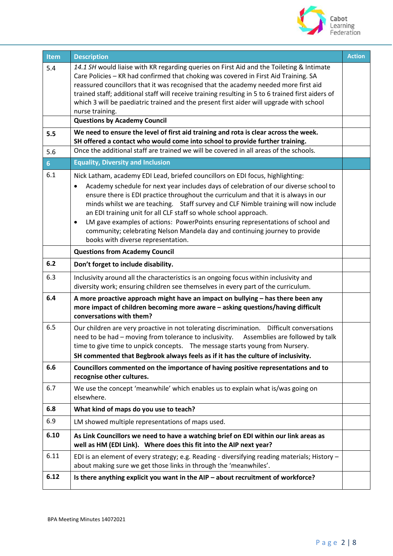

| <b>Item</b>    | <b>Description</b>                                                                                                                                                                             | <b>Action</b> |
|----------------|------------------------------------------------------------------------------------------------------------------------------------------------------------------------------------------------|---------------|
| 5.4            | 14.1 SH would liaise with KR regarding queries on First Aid and the Toileting & Intimate<br>Care Policies - KR had confirmed that choking was covered in First Aid Training. SA                |               |
|                | reassured councillors that it was recognised that the academy needed more first aid                                                                                                            |               |
|                | trained staff; additional staff will receive training resulting in 5 to 6 trained first aiders of                                                                                              |               |
|                | which 3 will be paediatric trained and the present first aider will upgrade with school                                                                                                        |               |
|                | nurse training.                                                                                                                                                                                |               |
|                | <b>Questions by Academy Council</b>                                                                                                                                                            |               |
| 5.5            | We need to ensure the level of first aid training and rota is clear across the week.<br>SH offered a contact who would come into school to provide further training.                           |               |
| 5.6            | Once the additional staff are trained we will be covered in all areas of the schools.                                                                                                          |               |
| 6 <sup>1</sup> | <b>Equality, Diversity and Inclusion</b>                                                                                                                                                       |               |
| 6.1            | Nick Latham, academy EDI Lead, briefed councillors on EDI focus, highlighting:                                                                                                                 |               |
|                | Academy schedule for next year includes days of celebration of our diverse school to<br>$\bullet$                                                                                              |               |
|                | ensure there is EDI practice throughout the curriculum and that it is always in our                                                                                                            |               |
|                | minds whilst we are teaching. Staff survey and CLF Nimble training will now include<br>an EDI training unit for all CLF staff so whole school approach.                                        |               |
|                | LM gave examples of actions: PowerPoints ensuring representations of school and<br>$\bullet$                                                                                                   |               |
|                | community; celebrating Nelson Mandela day and continuing journey to provide                                                                                                                    |               |
|                | books with diverse representation.                                                                                                                                                             |               |
|                | <b>Questions from Academy Council</b>                                                                                                                                                          |               |
| 6.2            | Don't forget to include disability.                                                                                                                                                            |               |
| 6.3            | Inclusivity around all the characteristics is an ongoing focus within inclusivity and                                                                                                          |               |
|                | diversity work; ensuring children see themselves in every part of the curriculum.                                                                                                              |               |
| 6.4            | A more proactive approach might have an impact on bullying - has there been any<br>more impact of children becoming more aware - asking questions/having difficult<br>conversations with them? |               |
| 6.5            | Our children are very proactive in not tolerating discrimination.  Difficult conversations                                                                                                     |               |
|                | need to be had - moving from tolerance to inclusivity.<br>Assemblies are followed by talk                                                                                                      |               |
|                | time to give time to unpick concepts.  The message starts young from Nursery.                                                                                                                  |               |
|                | SH commented that Begbrook always feels as if it has the culture of inclusivity.                                                                                                               |               |
| 6.6            | Councillors commented on the importance of having positive representations and to<br>recognise other cultures.                                                                                 |               |
| 6.7            | We use the concept 'meanwhile' which enables us to explain what is/was going on<br>elsewhere.                                                                                                  |               |
| 6.8            | What kind of maps do you use to teach?                                                                                                                                                         |               |
| 6.9            | LM showed multiple representations of maps used.                                                                                                                                               |               |
| 6.10           | As Link Councillors we need to have a watching brief on EDI within our link areas as<br>well as HM (EDI Link). Where does this fit into the AIP next year?                                     |               |
| 6.11           | EDI is an element of every strategy; e.g. Reading - diversifying reading materials; History -<br>about making sure we get those links in through the 'meanwhiles'.                             |               |
| 6.12           | Is there anything explicit you want in the AIP - about recruitment of workforce?                                                                                                               |               |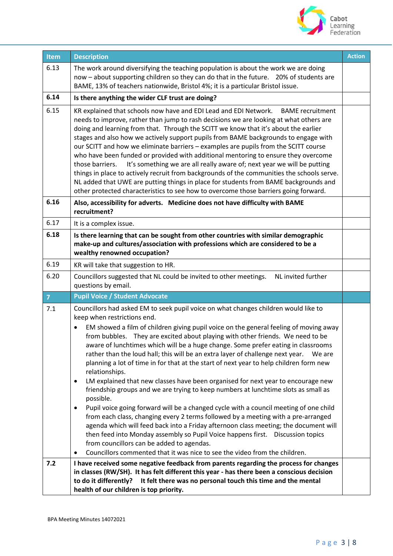

| Item           | <b>Description</b>                                                                                                                                                                                                                                                                                                                                                                                                                                                                                                                                                                                                                                                                                                                                                                                                                                                                                                                                                                                                                                                                                                                                                                                                                                                                                           | <b>Action</b> |
|----------------|--------------------------------------------------------------------------------------------------------------------------------------------------------------------------------------------------------------------------------------------------------------------------------------------------------------------------------------------------------------------------------------------------------------------------------------------------------------------------------------------------------------------------------------------------------------------------------------------------------------------------------------------------------------------------------------------------------------------------------------------------------------------------------------------------------------------------------------------------------------------------------------------------------------------------------------------------------------------------------------------------------------------------------------------------------------------------------------------------------------------------------------------------------------------------------------------------------------------------------------------------------------------------------------------------------------|---------------|
| 6.13           | The work around diversifying the teaching population is about the work we are doing<br>now - about supporting children so they can do that in the future.  20% of students are<br>BAME, 13% of teachers nationwide, Bristol 4%; it is a particular Bristol issue.                                                                                                                                                                                                                                                                                                                                                                                                                                                                                                                                                                                                                                                                                                                                                                                                                                                                                                                                                                                                                                            |               |
| 6.14           | Is there anything the wider CLF trust are doing?                                                                                                                                                                                                                                                                                                                                                                                                                                                                                                                                                                                                                                                                                                                                                                                                                                                                                                                                                                                                                                                                                                                                                                                                                                                             |               |
| 6.15           | KR explained that schools now have and EDI Lead and EDI Network.<br><b>BAME</b> recruitment<br>needs to improve, rather than jump to rash decisions we are looking at what others are<br>doing and learning from that. Through the SCITT we know that it's about the earlier<br>stages and also how we actively support pupils from BAME backgrounds to engage with<br>our SCITT and how we eliminate barriers - examples are pupils from the SCITT course<br>who have been funded or provided with additional mentoring to ensure they overcome<br>It's something we are all really aware of; next year we will be putting<br>those barriers.<br>things in place to actively recruit from backgrounds of the communities the schools serve.<br>NL added that UWE are putting things in place for students from BAME backgrounds and<br>other protected characteristics to see how to overcome those barriers going forward.                                                                                                                                                                                                                                                                                                                                                                                 |               |
| 6.16           | Also, accessibility for adverts. Medicine does not have difficulty with BAME<br>recruitment?                                                                                                                                                                                                                                                                                                                                                                                                                                                                                                                                                                                                                                                                                                                                                                                                                                                                                                                                                                                                                                                                                                                                                                                                                 |               |
| 6.17           | It is a complex issue.                                                                                                                                                                                                                                                                                                                                                                                                                                                                                                                                                                                                                                                                                                                                                                                                                                                                                                                                                                                                                                                                                                                                                                                                                                                                                       |               |
| 6.18           | Is there learning that can be sought from other countries with similar demographic<br>make-up and cultures/association with professions which are considered to be a<br>wealthy renowned occupation?                                                                                                                                                                                                                                                                                                                                                                                                                                                                                                                                                                                                                                                                                                                                                                                                                                                                                                                                                                                                                                                                                                         |               |
| 6.19           | KR will take that suggestion to HR.                                                                                                                                                                                                                                                                                                                                                                                                                                                                                                                                                                                                                                                                                                                                                                                                                                                                                                                                                                                                                                                                                                                                                                                                                                                                          |               |
| 6.20           | Councillors suggested that NL could be invited to other meetings.<br>NL invited further<br>questions by email.                                                                                                                                                                                                                                                                                                                                                                                                                                                                                                                                                                                                                                                                                                                                                                                                                                                                                                                                                                                                                                                                                                                                                                                               |               |
| $\overline{7}$ | <b>Pupil Voice / Student Advocate</b>                                                                                                                                                                                                                                                                                                                                                                                                                                                                                                                                                                                                                                                                                                                                                                                                                                                                                                                                                                                                                                                                                                                                                                                                                                                                        |               |
| 7.1            | Councillors had asked EM to seek pupil voice on what changes children would like to<br>keep when restrictions end.<br>EM showed a film of children giving pupil voice on the general feeling of moving away<br>$\bullet$<br>from bubbles. They are excited about playing with other friends. We need to be<br>aware of lunchtimes which will be a huge change. Some prefer eating in classrooms<br>rather than the loud hall; this will be an extra layer of challenge next year.<br>We are<br>planning a lot of time in for that at the start of next year to help children form new<br>relationships.<br>LM explained that new classes have been organised for next year to encourage new<br>$\bullet$<br>friendship groups and we are trying to keep numbers at lunchtime slots as small as<br>possible.<br>Pupil voice going forward will be a changed cycle with a council meeting of one child<br>$\bullet$<br>from each class, changing every 2 terms followed by a meeting with a pre-arranged<br>agenda which will feed back into a Friday afternoon class meeting; the document will<br>then feed into Monday assembly so Pupil Voice happens first.  Discussion topics<br>from councillors can be added to agendas.<br>Councillors commented that it was nice to see the video from the children. |               |
| 7.2            | I have received some negative feedback from parents regarding the process for changes<br>in classes (RW/SH). It has felt different this year - has there been a conscious decision<br>to do it differently?<br>It felt there was no personal touch this time and the mental<br>health of our children is top priority.                                                                                                                                                                                                                                                                                                                                                                                                                                                                                                                                                                                                                                                                                                                                                                                                                                                                                                                                                                                       |               |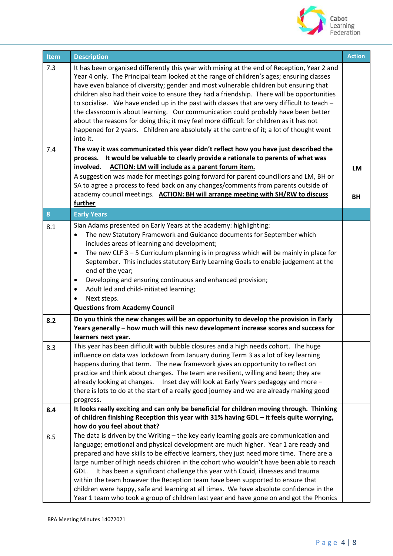

| Item | <b>Description</b>                                                                                                                                                                      | <b>Action</b> |
|------|-----------------------------------------------------------------------------------------------------------------------------------------------------------------------------------------|---------------|
| 7.3  | It has been organised differently this year with mixing at the end of Reception, Year 2 and<br>Year 4 only. The Principal team looked at the range of children's ages; ensuring classes |               |
|      | have even balance of diversity; gender and most vulnerable children but ensuring that                                                                                                   |               |
|      | children also had their voice to ensure they had a friendship. There will be opportunities                                                                                              |               |
|      | to socialise. We have ended up in the past with classes that are very difficult to teach -<br>the classroom is about learning. Our communication could probably have been better        |               |
|      | about the reasons for doing this; it may feel more difficult for children as it has not                                                                                                 |               |
|      | happened for 2 years. Children are absolutely at the centre of it; a lot of thought went                                                                                                |               |
|      | into it.                                                                                                                                                                                |               |
| 7.4  | The way it was communicated this year didn't reflect how you have just described the                                                                                                    |               |
|      | process. It would be valuable to clearly provide a rationale to parents of what was<br><b>ACTION: LM will include as a parent forum item.</b><br>involved.                              |               |
|      | A suggestion was made for meetings going forward for parent councillors and LM, BH or                                                                                                   | <b>LM</b>     |
|      | SA to agree a process to feed back on any changes/comments from parents outside of                                                                                                      |               |
|      | academy council meetings. ACTION: BH will arrange meeting with SH/RW to discuss                                                                                                         | <b>BH</b>     |
|      | further                                                                                                                                                                                 |               |
| 8    | <b>Early Years</b>                                                                                                                                                                      |               |
| 8.1  | Sian Adams presented on Early Years at the academy: highlighting:                                                                                                                       |               |
|      | The new Statutory Framework and Guidance documents for September which<br>$\bullet$<br>includes areas of learning and development;                                                      |               |
|      | The new CLF $3 - 5$ Curriculum planning is in progress which will be mainly in place for<br>$\bullet$                                                                                   |               |
|      | September. This includes statutory Early Learning Goals to enable judgement at the                                                                                                      |               |
|      | end of the year;                                                                                                                                                                        |               |
|      | Developing and ensuring continuous and enhanced provision;<br>٠                                                                                                                         |               |
|      | Adult led and child-initiated learning;<br>$\bullet$                                                                                                                                    |               |
|      | Next steps.<br>$\bullet$<br><b>Questions from Academy Council</b>                                                                                                                       |               |
|      | Do you think the new changes will be an opportunity to develop the provision in Early                                                                                                   |               |
| 8.2  | Years generally - how much will this new development increase scores and success for<br>learners next year.                                                                             |               |
| 8.3  | This year has been difficult with bubble closures and a high needs cohort. The huge                                                                                                     |               |
|      | influence on data was lockdown from January during Term 3 as a lot of key learning                                                                                                      |               |
|      | happens during that term. The new framework gives an opportunity to reflect on                                                                                                          |               |
|      | practice and think about changes. The team are resilient, willing and keen; they are                                                                                                    |               |
|      | already looking at changes.  Inset day will look at Early Years pedagogy and more -<br>there is lots to do at the start of a really good journey and we are already making good         |               |
|      | progress.                                                                                                                                                                               |               |
| 8.4  | It looks really exciting and can only be beneficial for children moving through. Thinking                                                                                               |               |
|      | of children finishing Reception this year with 31% having GDL - it feels quite worrying,                                                                                                |               |
|      | how do you feel about that?<br>The data is driven by the Writing - the key early learning goals are communication and                                                                   |               |
| 8.5  | language; emotional and physical development are much higher. Year 1 are ready and                                                                                                      |               |
|      | prepared and have skills to be effective learners, they just need more time. There are a                                                                                                |               |
|      | large number of high needs children in the cohort who wouldn't have been able to reach                                                                                                  |               |
|      | It has been a significant challenge this year with Covid, illnesses and trauma<br>GDL.                                                                                                  |               |
|      | within the team however the Reception team have been supported to ensure that                                                                                                           |               |
|      | children were happy, safe and learning at all times. We have absolute confidence in the<br>Year 1 team who took a group of children last year and have gone on and got the Phonics      |               |
|      |                                                                                                                                                                                         |               |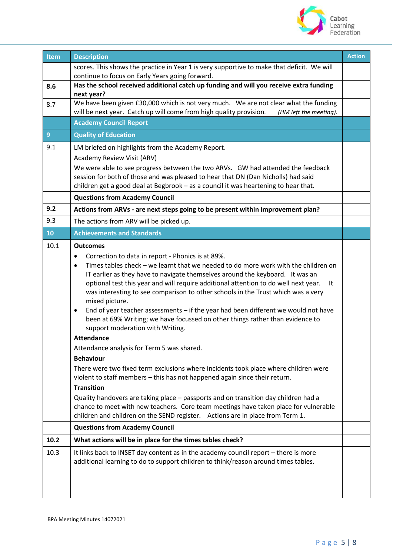

| Item           | <b>Description</b>                                                                                                                                                                                                                                                                                                                                                                                                                                                                                                                                                                                                                                                                                                                                                                                                                                                                                                                                                                                                                                                                                                                                                                                                                                | <b>Action</b> |
|----------------|---------------------------------------------------------------------------------------------------------------------------------------------------------------------------------------------------------------------------------------------------------------------------------------------------------------------------------------------------------------------------------------------------------------------------------------------------------------------------------------------------------------------------------------------------------------------------------------------------------------------------------------------------------------------------------------------------------------------------------------------------------------------------------------------------------------------------------------------------------------------------------------------------------------------------------------------------------------------------------------------------------------------------------------------------------------------------------------------------------------------------------------------------------------------------------------------------------------------------------------------------|---------------|
|                | scores. This shows the practice in Year 1 is very supportive to make that deficit. We will                                                                                                                                                                                                                                                                                                                                                                                                                                                                                                                                                                                                                                                                                                                                                                                                                                                                                                                                                                                                                                                                                                                                                        |               |
|                | continue to focus on Early Years going forward.                                                                                                                                                                                                                                                                                                                                                                                                                                                                                                                                                                                                                                                                                                                                                                                                                                                                                                                                                                                                                                                                                                                                                                                                   |               |
| 8.6            | Has the school received additional catch up funding and will you receive extra funding<br>next year?                                                                                                                                                                                                                                                                                                                                                                                                                                                                                                                                                                                                                                                                                                                                                                                                                                                                                                                                                                                                                                                                                                                                              |               |
| 8.7            | We have been given £30,000 which is not very much. We are not clear what the funding                                                                                                                                                                                                                                                                                                                                                                                                                                                                                                                                                                                                                                                                                                                                                                                                                                                                                                                                                                                                                                                                                                                                                              |               |
|                | will be next year. Catch up will come from high quality provision.<br>(HM left the meeting).                                                                                                                                                                                                                                                                                                                                                                                                                                                                                                                                                                                                                                                                                                                                                                                                                                                                                                                                                                                                                                                                                                                                                      |               |
|                | <b>Academy Council Report</b>                                                                                                                                                                                                                                                                                                                                                                                                                                                                                                                                                                                                                                                                                                                                                                                                                                                                                                                                                                                                                                                                                                                                                                                                                     |               |
| $\overline{9}$ | <b>Quality of Education</b>                                                                                                                                                                                                                                                                                                                                                                                                                                                                                                                                                                                                                                                                                                                                                                                                                                                                                                                                                                                                                                                                                                                                                                                                                       |               |
| 9.1            | LM briefed on highlights from the Academy Report.<br>Academy Review Visit (ARV)                                                                                                                                                                                                                                                                                                                                                                                                                                                                                                                                                                                                                                                                                                                                                                                                                                                                                                                                                                                                                                                                                                                                                                   |               |
|                | We were able to see progress between the two ARVs. GW had attended the feedback                                                                                                                                                                                                                                                                                                                                                                                                                                                                                                                                                                                                                                                                                                                                                                                                                                                                                                                                                                                                                                                                                                                                                                   |               |
|                | session for both of those and was pleased to hear that DN (Dan Nicholls) had said                                                                                                                                                                                                                                                                                                                                                                                                                                                                                                                                                                                                                                                                                                                                                                                                                                                                                                                                                                                                                                                                                                                                                                 |               |
|                | children get a good deal at Begbrook - as a council it was heartening to hear that.                                                                                                                                                                                                                                                                                                                                                                                                                                                                                                                                                                                                                                                                                                                                                                                                                                                                                                                                                                                                                                                                                                                                                               |               |
|                | <b>Questions from Academy Council</b>                                                                                                                                                                                                                                                                                                                                                                                                                                                                                                                                                                                                                                                                                                                                                                                                                                                                                                                                                                                                                                                                                                                                                                                                             |               |
| 9.2            | Actions from ARVs - are next steps going to be present within improvement plan?                                                                                                                                                                                                                                                                                                                                                                                                                                                                                                                                                                                                                                                                                                                                                                                                                                                                                                                                                                                                                                                                                                                                                                   |               |
| 9.3            | The actions from ARV will be picked up.                                                                                                                                                                                                                                                                                                                                                                                                                                                                                                                                                                                                                                                                                                                                                                                                                                                                                                                                                                                                                                                                                                                                                                                                           |               |
| 10             | <b>Achievements and Standards</b>                                                                                                                                                                                                                                                                                                                                                                                                                                                                                                                                                                                                                                                                                                                                                                                                                                                                                                                                                                                                                                                                                                                                                                                                                 |               |
| 10.1           | <b>Outcomes</b><br>Correction to data in report - Phonics is at 89%.<br>$\bullet$<br>Times tables check - we learnt that we needed to do more work with the children on<br>$\bullet$<br>IT earlier as they have to navigate themselves around the keyboard. It was an<br>optional test this year and will require additional attention to do well next year.<br>It<br>was interesting to see comparison to other schools in the Trust which was a very<br>mixed picture.<br>End of year teacher assessments - if the year had been different we would not have<br>$\bullet$<br>been at 69% Writing; we have focussed on other things rather than evidence to<br>support moderation with Writing.<br><b>Attendance</b><br>Attendance analysis for Term 5 was shared.<br><b>Behaviour</b><br>There were two fixed term exclusions where incidents took place where children were<br>violent to staff members - this has not happened again since their return.<br><b>Transition</b><br>Quality handovers are taking place - passports and on transition day children had a<br>chance to meet with new teachers. Core team meetings have taken place for vulnerable<br>children and children on the SEND register. Actions are in place from Term 1. |               |
|                | <b>Questions from Academy Council</b>                                                                                                                                                                                                                                                                                                                                                                                                                                                                                                                                                                                                                                                                                                                                                                                                                                                                                                                                                                                                                                                                                                                                                                                                             |               |
| 10.2           | What actions will be in place for the times tables check?                                                                                                                                                                                                                                                                                                                                                                                                                                                                                                                                                                                                                                                                                                                                                                                                                                                                                                                                                                                                                                                                                                                                                                                         |               |
| 10.3           | It links back to INSET day content as in the academy council report - there is more<br>additional learning to do to support children to think/reason around times tables.                                                                                                                                                                                                                                                                                                                                                                                                                                                                                                                                                                                                                                                                                                                                                                                                                                                                                                                                                                                                                                                                         |               |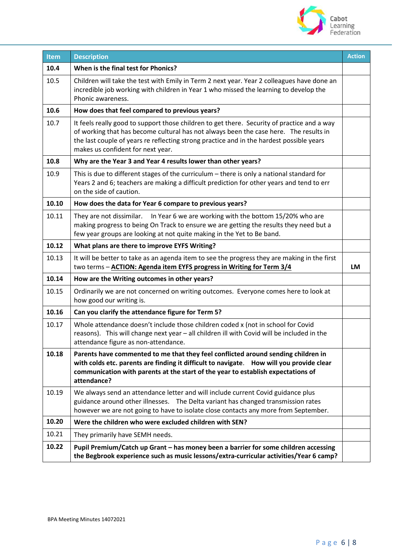

| Item  | <b>Description</b>                                                                                                                                                                                                                                                                                                    | <b>Action</b> |
|-------|-----------------------------------------------------------------------------------------------------------------------------------------------------------------------------------------------------------------------------------------------------------------------------------------------------------------------|---------------|
| 10.4  | When is the final test for Phonics?                                                                                                                                                                                                                                                                                   |               |
| 10.5  | Children will take the test with Emily in Term 2 next year. Year 2 colleagues have done an<br>incredible job working with children in Year 1 who missed the learning to develop the<br>Phonic awareness.                                                                                                              |               |
| 10.6  | How does that feel compared to previous years?                                                                                                                                                                                                                                                                        |               |
| 10.7  | It feels really good to support those children to get there. Security of practice and a way<br>of working that has become cultural has not always been the case here. The results in<br>the last couple of years re reflecting strong practice and in the hardest possible years<br>makes us confident for next year. |               |
| 10.8  | Why are the Year 3 and Year 4 results lower than other years?                                                                                                                                                                                                                                                         |               |
| 10.9  | This is due to different stages of the curriculum - there is only a national standard for<br>Years 2 and 6; teachers are making a difficult prediction for other years and tend to err<br>on the side of caution.                                                                                                     |               |
| 10.10 | How does the data for Year 6 compare to previous years?                                                                                                                                                                                                                                                               |               |
| 10.11 | They are not dissimilar.  In Year 6 we are working with the bottom 15/20% who are<br>making progress to being On Track to ensure we are getting the results they need but a<br>few year groups are looking at not quite making in the Yet to Be band.                                                                 |               |
| 10.12 | What plans are there to improve EYFS Writing?                                                                                                                                                                                                                                                                         |               |
| 10.13 | It will be better to take as an agenda item to see the progress they are making in the first<br>two terms - ACTION: Agenda item EYFS progress in Writing for Term 3/4                                                                                                                                                 | <b>LM</b>     |
| 10.14 | How are the Writing outcomes in other years?                                                                                                                                                                                                                                                                          |               |
| 10.15 | Ordinarily we are not concerned on writing outcomes. Everyone comes here to look at<br>how good our writing is.                                                                                                                                                                                                       |               |
| 10.16 | Can you clarify the attendance figure for Term 5?                                                                                                                                                                                                                                                                     |               |
| 10.17 | Whole attendance doesn't include those children coded x (not in school for Covid<br>reasons). This will change next year - all children ill with Covid will be included in the<br>attendance figure as non-attendance.                                                                                                |               |
| 10.18 | Parents have commented to me that they feel conflicted around sending children in<br>with colds etc. parents are finding it difficult to navigate. How will you provide clear<br>communication with parents at the start of the year to establish expectations of<br>attendance?                                      |               |
| 10.19 | We always send an attendance letter and will include current Covid guidance plus<br>guidance around other illnesses. The Delta variant has changed transmission rates<br>however we are not going to have to isolate close contacts any more from September.                                                          |               |
| 10.20 | Were the children who were excluded children with SEN?                                                                                                                                                                                                                                                                |               |
| 10.21 | They primarily have SEMH needs.                                                                                                                                                                                                                                                                                       |               |
| 10.22 | Pupil Premium/Catch up Grant - has money been a barrier for some children accessing<br>the Begbrook experience such as music lessons/extra-curricular activities/Year 6 camp?                                                                                                                                         |               |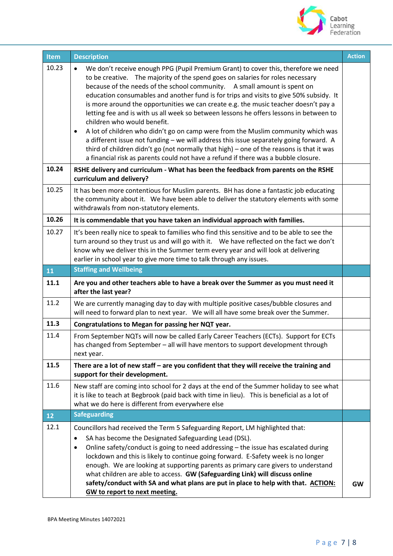

| Item           | <b>Description</b>                                                                                                                                                                                                                                                                                                                                                                                                                                                                                                                                                                                                                                                                                                                                                                                                                                                                                                                                                                                                                         | <b>Action</b> |
|----------------|--------------------------------------------------------------------------------------------------------------------------------------------------------------------------------------------------------------------------------------------------------------------------------------------------------------------------------------------------------------------------------------------------------------------------------------------------------------------------------------------------------------------------------------------------------------------------------------------------------------------------------------------------------------------------------------------------------------------------------------------------------------------------------------------------------------------------------------------------------------------------------------------------------------------------------------------------------------------------------------------------------------------------------------------|---------------|
| 10.23<br>10.24 | We don't receive enough PPG (Pupil Premium Grant) to cover this, therefore we need<br>$\bullet$<br>to be creative. The majority of the spend goes on salaries for roles necessary<br>because of the needs of the school community. A small amount is spent on<br>education consumables and another fund is for trips and visits to give 50% subsidy. It<br>is more around the opportunities we can create e.g. the music teacher doesn't pay a<br>letting fee and is with us all week so between lessons he offers lessons in between to<br>children who would benefit.<br>A lot of children who didn't go on camp were from the Muslim community which was<br>$\bullet$<br>a different issue not funding - we will address this issue separately going forward. A<br>third of children didn't go (not normally that high) - one of the reasons is that it was<br>a financial risk as parents could not have a refund if there was a bubble closure.<br>RSHE delivery and curriculum - What has been the feedback from parents on the RSHE |               |
|                | curriculum and delivery?                                                                                                                                                                                                                                                                                                                                                                                                                                                                                                                                                                                                                                                                                                                                                                                                                                                                                                                                                                                                                   |               |
| 10.25          | It has been more contentious for Muslim parents. BH has done a fantastic job educating<br>the community about it. We have been able to deliver the statutory elements with some<br>withdrawals from non-statutory elements.                                                                                                                                                                                                                                                                                                                                                                                                                                                                                                                                                                                                                                                                                                                                                                                                                |               |
| 10.26          | It is commendable that you have taken an individual approach with families.                                                                                                                                                                                                                                                                                                                                                                                                                                                                                                                                                                                                                                                                                                                                                                                                                                                                                                                                                                |               |
| 10.27          | It's been really nice to speak to families who find this sensitive and to be able to see the<br>turn around so they trust us and will go with it. We have reflected on the fact we don't<br>know why we deliver this in the Summer term every year and will look at delivering<br>earlier in school year to give more time to talk through any issues.                                                                                                                                                                                                                                                                                                                                                                                                                                                                                                                                                                                                                                                                                     |               |
| 11             | <b>Staffing and Wellbeing</b>                                                                                                                                                                                                                                                                                                                                                                                                                                                                                                                                                                                                                                                                                                                                                                                                                                                                                                                                                                                                              |               |
| 11.1           | Are you and other teachers able to have a break over the Summer as you must need it<br>after the last year?                                                                                                                                                                                                                                                                                                                                                                                                                                                                                                                                                                                                                                                                                                                                                                                                                                                                                                                                |               |
| 11.2           | We are currently managing day to day with multiple positive cases/bubble closures and<br>will need to forward plan to next year. We will all have some break over the Summer.                                                                                                                                                                                                                                                                                                                                                                                                                                                                                                                                                                                                                                                                                                                                                                                                                                                              |               |
| 11.3           | Congratulations to Megan for passing her NQT year.                                                                                                                                                                                                                                                                                                                                                                                                                                                                                                                                                                                                                                                                                                                                                                                                                                                                                                                                                                                         |               |
| 11.4           | From September NQTs will now be called Early Career Teachers (ECTs). Support for ECTs<br>has changed from September - all will have mentors to support development through<br>next year.                                                                                                                                                                                                                                                                                                                                                                                                                                                                                                                                                                                                                                                                                                                                                                                                                                                   |               |
| 11.5           | There are a lot of new staff - are you confident that they will receive the training and<br>support for their development.                                                                                                                                                                                                                                                                                                                                                                                                                                                                                                                                                                                                                                                                                                                                                                                                                                                                                                                 |               |
| 11.6           | New staff are coming into school for 2 days at the end of the Summer holiday to see what<br>it is like to teach at Begbrook (paid back with time in lieu). This is beneficial as a lot of<br>what we do here is different from everywhere else                                                                                                                                                                                                                                                                                                                                                                                                                                                                                                                                                                                                                                                                                                                                                                                             |               |
| 12             | <b>Safeguarding</b>                                                                                                                                                                                                                                                                                                                                                                                                                                                                                                                                                                                                                                                                                                                                                                                                                                                                                                                                                                                                                        |               |
| 12.1           | Councillors had received the Term 5 Safeguarding Report, LM highlighted that:<br>SA has become the Designated Safeguarding Lead (DSL).<br>$\bullet$<br>Online safety/conduct is going to need addressing - the issue has escalated during<br>$\bullet$<br>lockdown and this is likely to continue going forward. E-Safety week is no longer<br>enough. We are looking at supporting parents as primary care givers to understand<br>what children are able to access. GW (Safeguarding Link) will discuss online<br>safety/conduct with SA and what plans are put in place to help with that. ACTION:<br><b>GW</b> to report to next meeting.                                                                                                                                                                                                                                                                                                                                                                                              | GW            |